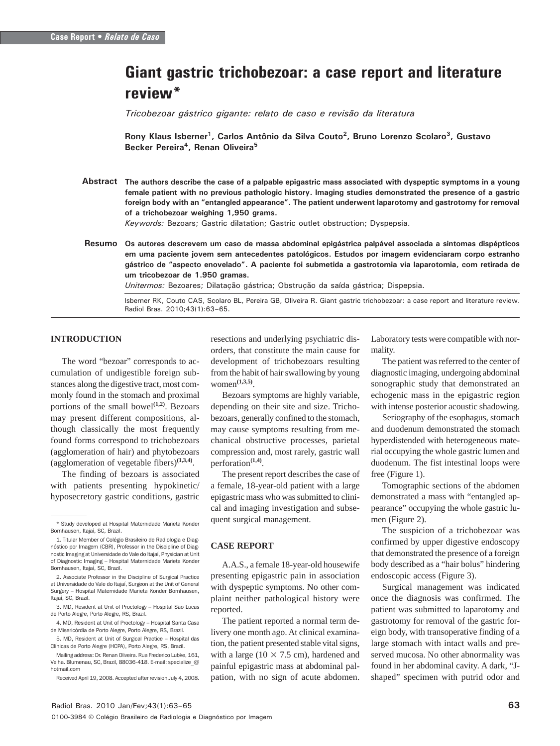# Giant gastric trichobezoar: a case report and literature review\*

Tricobezoar gástrico gigante: relato de caso e revisão da literatura

Rony Klaus Isberner<sup>1</sup>, Carlos Antônio da Silva Couto<sup>2</sup>, Bruno Lorenzo Scolaro<sup>3</sup>, Gustavo Becker Pereira<sup>4</sup>, Renan Oliveira<sup>5</sup>

Abstract The authors describe the case of a palpable epigastric mass associated with dyspeptic symptoms in a young female patient with no previous pathologic history. Imaging studies demonstrated the presence of a gastric foreign body with an "entangled appearance". The patient underwent laparotomy and gastrotomy for removal of a trichobezoar weighing 1,950 grams.

Keywords: Bezoars; Gastric dilatation; Gastric outlet obstruction; Dyspepsia.

Resumo Os autores descrevem um caso de massa abdominal epigástrica palpável associada a sintomas dispépticos em uma paciente jovem sem antecedentes patológicos. Estudos por imagem evidenciaram corpo estranho gástrico de "aspecto enovelado". A paciente foi submetida a gastrotomia via laparotomia, com retirada de um tricobezoar de 1.950 gramas.

Unitermos: Bezoares; Dilatação gástrica; Obstrução da saída gástrica; Dispepsia.

Isberner RK, Couto CAS, Scolaro BL, Pereira GB, Oliveira R. Giant gastric trichobezoar: a case report and literature review. Radiol Bras. 2010;43(1):63–65.

## **INTRODUCTION**

The word "bezoar" corresponds to accumulation of undigestible foreign substances along the digestive tract, most commonly found in the stomach and proximal portions of the small bowel<sup>(1,2)</sup>. Bezoars may present different compositions, although classically the most frequently found forms correspond to trichobezoars (agglomeration of hair) and phytobezoars (agglomeration of vegetable fibers)**(1,3,4)**.

The finding of bezoars is associated with patients presenting hypokinetic/ hyposecretory gastric conditions, gastric

resections and underlying psychiatric disorders, that constitute the main cause for development of trichobezoars resulting from the habit of hair swallowing by young women**(1,3,5)**.

Bezoars symptoms are highly variable, depending on their site and size. Trichobezoars, generally confined to the stomach, may cause symptoms resulting from mechanical obstructive processes, parietal compression and, most rarely, gastric wall perforation**(1,4)**.

The present report describes the case of a female, 18-year-old patient with a large epigastric mass who was submitted to clinical and imaging investigation and subsequent surgical management.

### **CASE REPORT**

A.A.S., a female 18-year-old housewife presenting epigastric pain in association with dyspeptic symptoms. No other complaint neither pathological history were reported.

The patient reported a normal term delivery one month ago. At clinical examination, the patient presented stable vital signs, with a large (10 *×* 7.5 cm), hardened and painful epigastric mass at abdominal palpation, with no sign of acute abdomen.

Laboratory tests were compatible with normality.

The patient was referred to the center of diagnostic imaging, undergoing abdominal sonographic study that demonstrated an echogenic mass in the epigastric region with intense posterior acoustic shadowing.

Seriography of the esophagus, stomach and duodenum demonstrated the stomach hyperdistended with heterogeneous material occupying the whole gastric lumen and duodenum. The fist intestinal loops were free (Figure 1).

Tomographic sections of the abdomen demonstrated a mass with "entangled appearance" occupying the whole gastric lumen (Figure 2).

The suspicion of a trichobezoar was confirmed by upper digestive endoscopy that demonstrated the presence of a foreign body described as a "hair bolus" hindering endoscopic access (Figure 3).

Surgical management was indicated once the diagnosis was confirmed. The patient was submitted to laparotomy and gastrotomy for removal of the gastric foreign body, with transoperative finding of a large stomach with intact walls and preserved mucosa. No other abnormality was found in her abdominal cavity. A dark, "Jshaped" specimen with putrid odor and

<sup>\*</sup> Study developed at Hospital Maternidade Marieta Konder Bornhausen, Itajaí, SC, Brazil.

<sup>1.</sup> Titular Member of Colégio Brasileiro de Radiologia e Diagnóstico por Imagem (CBR), Professor in the Discipline of Diagnostic Imaging at Universidade do Vale do Itajaí, Physician at Unit of Diagnostic Imaging – Hospital Maternidade Marieta Konder Bornhausen, Itajaí, SC, Brazil.

<sup>2.</sup> Associate Professor in the Discipline of Surgical Practice at Universidade do Vale do Itajaí, Surgeon at the Unit of General Surgery – Hospital Maternidade Marieta Konder Bornhausen, Itajaí, SC, Brazil.

<sup>3.</sup> MD, Resident at Unit of Proctology – Hospital São Lucas de Porto Alegre, Porto Alegre, RS, Brazil.

<sup>4.</sup> MD, Resident at Unit of Proctology – Hospital Santa Casa de Misericórdia de Porto Alegre, Porto Alegre, RS, Brazil.

<sup>5.</sup> MD, Resident at Unit of Surgical Practice – Hospital das Clínicas de Porto Alegre (HCPA), Porto Alegre, RS, Brazil.

Mailing address: Dr. Renan Oliveira. Rua Frederico Lubke, 161, Velha. Blumenau, SC, Brazil, 88036-418. E-mail: specialize\_@ hotmail.com

Received April 19, 2008. Accepted after revision July 4, 2008.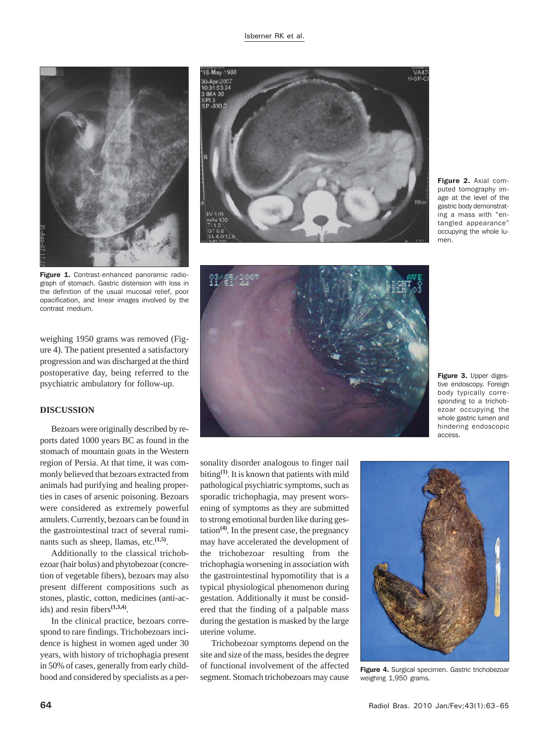

Figure 1. Contrast-enhanced panoramic radiograph of stomach. Gastric distension with loss in the definition of the usual mucosal relief, poor opacification, and linear images involved by the contrast medium.

weighing 1950 grams was removed (Figure 4). The patient presented a satisfactory progression and was discharged at the third postoperative day, being referred to the psychiatric ambulatory for follow-up.

#### **DISCUSSION**

Bezoars were originally described by reports dated 1000 years BC as found in the stomach of mountain goats in the Western region of Persia. At that time, it was commonly believed that bezoars extracted from animals had purifying and healing properties in cases of arsenic poisoning. Bezoars were considered as extremely powerful amulets. Currently, bezoars can be found in the gastrointestinal tract of several ruminants such as sheep, llamas, etc. $(1,5)$ .

Additionally to the classical trichobezoar (hair bolus) and phytobezoar (concretion of vegetable fibers), bezoars may also present different compositions such as stones, plastic, cotton, medicines (anti-acids) and resin fibers**(1,3,4)**.

In the clinical practice, bezoars correspond to rare findings. Trichobezoars incidence is highest in women aged under 30 years, with history of trichophagia present in 50% of cases, generally from early childhood and considered by specialists as a per-



Figure 2. Axial computed tomography image at the level of the gastric body demonstrating a mass with "entangled appearance" occupying the whole lumen.



Figure 3. Upper digestive endoscopy. Foreign body typically corresponding to a trichobezoar occupying the whole gastric lumen and hindering endoscopic access.

sonality disorder analogous to finger nail biting**(1)**. It is known that patients with mild pathological psychiatric symptoms, such as sporadic trichophagia, may present worsening of symptoms as they are submitted to strong emotional burden like during gestation**(4)**. In the present case, the pregnancy may have accelerated the development of the trichobezoar resulting from the trichophagia worsening in association with the gastrointestinal hypomotility that is a typical physiological phenomenon during gestation. Additionally it must be considered that the finding of a palpable mass during the gestation is masked by the large uterine volume.

Trichobezoar symptoms depend on the site and size of the mass, besides the degree of functional involvement of the affected segment. Stomach trichobezoars may cause



Figure 4. Surgical specimen. Gastric trichobezoar weighing 1,950 grams.